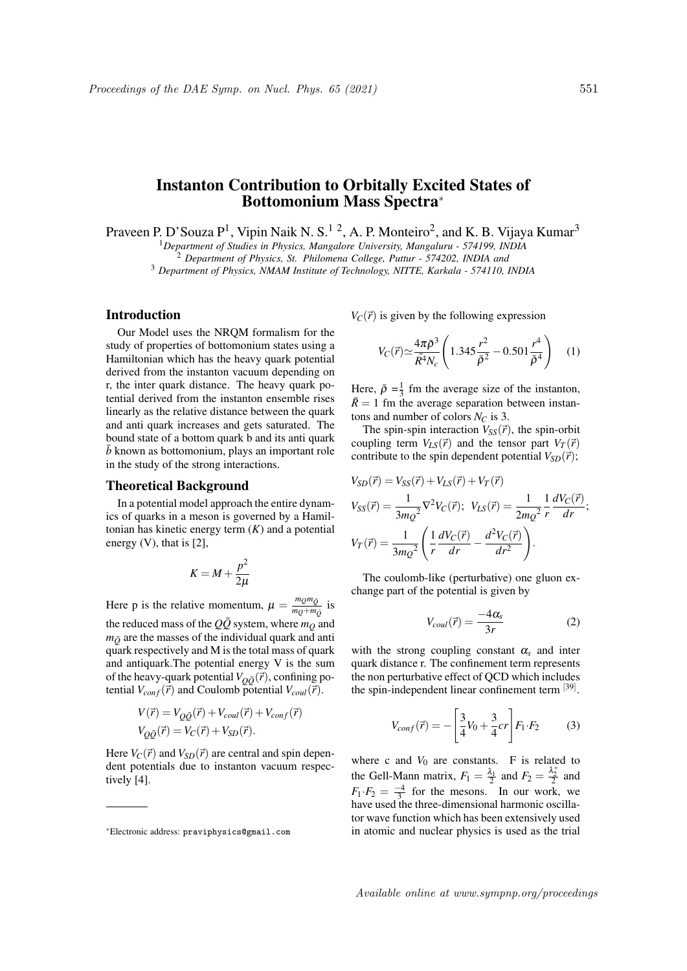# Instanton Contribution to Orbitally Excited States of Bottomonium Mass Spectra<sup>∗</sup>

Praveen P. D'Souza P<sup>1</sup>, Vipin Naik N. S.<sup>12</sup>, A. P. Monteiro<sup>2</sup>, and K. B. Vijaya Kumar<sup>3</sup>

<sup>1</sup>*Department of Studies in Physics, Mangalore University, Mangaluru - 574199, INDIA*

<sup>2</sup> *Department of Physics, St. Philomena College, Puttur - 574202, INDIA and*

<sup>3</sup> *Department of Physics, NMAM Institute of Technology, NITTE, Karkala - 574110, INDIA*

## Introduction

Our Model uses the NRQM formalism for the study of properties of bottomonium states using a Hamiltonian which has the heavy quark potential derived from the instanton vacuum depending on r, the inter quark distance. The heavy quark potential derived from the instanton ensemble rises linearly as the relative distance between the quark and anti quark increases and gets saturated. The bound state of a bottom quark b and its anti quark  $\bar{b}$  known as bottomonium, plays an important role in the study of the strong interactions.

## Theoretical Background

In a potential model approach the entire dynamics of quarks in a meson is governed by a Hamiltonian has kinetic energy term (*K*) and a potential energy  $(V)$ , that is  $[2]$ ,

$$
K = M + \frac{p^2}{2\mu}
$$

Here p is the relative momentum,  $\mu = \frac{m_Q m_{\bar{Q}}}{m_Q + m}$  $\frac{m_Q m_Q}{m_Q + m_{\bar{Q}}}$  is the reduced mass of the  $Q\bar{Q}$  system, where  $m_Q$  and  $m_{\tilde{Q}}$  are the masses of the individual quark and anti quark respectively and M is the total mass of quark and antiquark.The potential energy V is the sum of the heavy-quark potential  $V_{O\bar{O}}(\vec{r})$ , confining potential  $V_{conf}(\vec{r})$  and Coulomb potential  $V_{coul}(\vec{r})$ .

$$
V(\vec{r}) = V_{Q\bar{Q}}(\vec{r}) + V_{coul}(\vec{r}) + V_{conf}(\vec{r})
$$
  

$$
V_{Q\bar{Q}}(\vec{r}) = V_C(\vec{r}) + V_{SD}(\vec{r}).
$$

Here  $V_C(\vec{r})$  and  $V_{SD}(\vec{r})$  are central and spin dependent potentials due to instanton vacuum respectively [4].

 $V_C(\vec{r})$  is given by the following expression

$$
V_C(\vec{r}) \simeq \frac{4\pi\bar{\rho}^3}{\bar{R}^4 N_c} \left( 1.345 \frac{r^2}{\bar{\rho}^2} - 0.501 \frac{r^4}{\bar{\rho}^4} \right) \quad (1)
$$

Here,  $\bar{\rho} = \frac{1}{3}$  fm the average size of the instanton,  $R = 1$  fm the average separation between instantons and number of colors *N<sup>C</sup>* is 3.

The spin-spin interaction  $V_{SS}(\vec{r})$ , the spin-orbit coupling term  $V_{LS}(\vec{r})$  and the tensor part  $V_T(\vec{r})$ contribute to the spin dependent potential  $V_{SD}(\vec{r})$ ;

$$
V_{SD}(\vec{r}) = V_{SS}(\vec{r}) + V_{LS}(\vec{r}) + V_T(\vec{r})
$$
  
\n
$$
V_{SS}(\vec{r}) = \frac{1}{3m_Q^2} \nabla^2 V_C(\vec{r}); \ \ V_{LS}(\vec{r}) = \frac{1}{2m_Q^2} \frac{1}{r} \frac{dV_C(\vec{r})}{dr};
$$
  
\n
$$
V_T(\vec{r}) = \frac{1}{3m_Q^2} \left( \frac{1}{r} \frac{dV_C(\vec{r})}{dr} - \frac{d^2V_C(\vec{r})}{dr^2} \right).
$$

The coulomb-like (perturbative) one gluon exchange part of the potential is given by

$$
V_{coul}(\vec{r}) = \frac{-4\alpha_s}{3r} \tag{2}
$$

with the strong coupling constant  $\alpha_s$  and inter quark distance r. The confinement term represents the non perturbative effect of QCD which includes the spin-independent linear confinement term [39].

$$
V_{conf}(\vec{r}) = -\left[\frac{3}{4}V_0 + \frac{3}{4}cr\right]F_1 \cdot F_2 \tag{3}
$$

where c and  $V_0$  are constants. F is related to the Gell-Mann matrix,  $F_1 = \frac{\lambda_1}{2}$  and  $F_2 = \frac{\lambda_2^*}{2}$  and  $F_1 \cdot F_2 = \frac{-4}{3}$  for the mesons. In our work, we have used the three-dimensional harmonic oscillator wave function which has been extensively used in atomic and nuclear physics is used as the trial

Available online at www.sympnp.org/proceedings

<sup>∗</sup>Electronic address: praviphysics@gmail.com